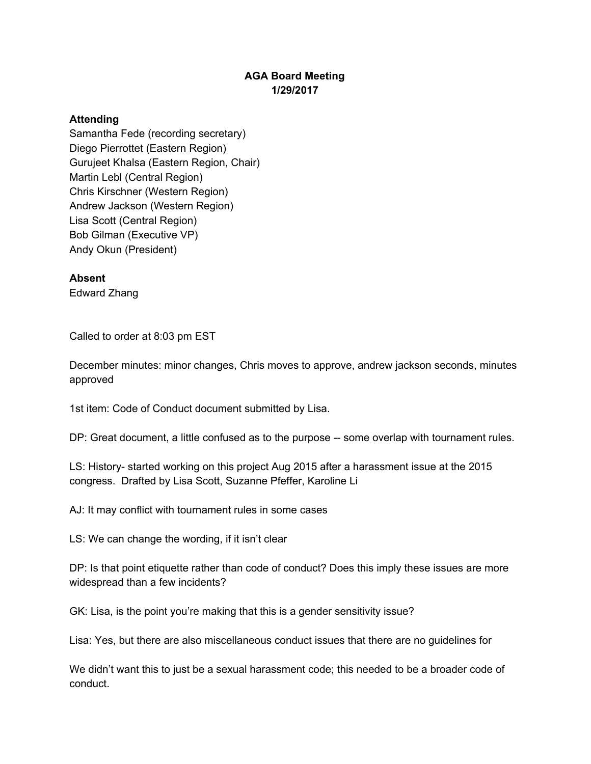## **AGA Board Meeting 1/29/2017**

## **Attending**

Samantha Fede (recording secretary) Diego Pierrottet (Eastern Region) Gurujeet Khalsa (Eastern Region, Chair) Martin Lebl (Central Region) Chris Kirschner (Western Region) Andrew Jackson (Western Region) Lisa Scott (Central Region) Bob Gilman (Executive VP) Andy Okun (President)

## **Absent**

Edward Zhang

Called to order at 8:03 pm EST

December minutes: minor changes, Chris moves to approve, andrew jackson seconds, minutes approved

1st item: Code of Conduct document submitted by Lisa.

DP: Great document, a little confused as to the purpose -- some overlap with tournament rules.

LS: History- started working on this project Aug 2015 after a harassment issue at the 2015 congress. Drafted by Lisa Scott, Suzanne Pfeffer, Karoline Li

AJ: It may conflict with tournament rules in some cases

LS: We can change the wording, if it isn't clear

DP: Is that point etiquette rather than code of conduct? Does this imply these issues are more widespread than a few incidents?

GK: Lisa, is the point you're making that this is a gender sensitivity issue?

Lisa: Yes, but there are also miscellaneous conduct issues that there are no guidelines for

We didn't want this to just be a sexual harassment code; this needed to be a broader code of conduct.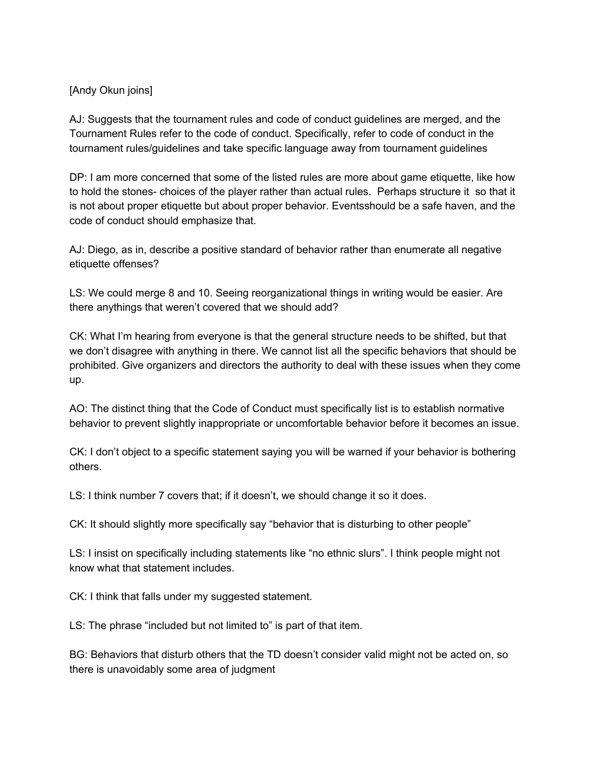## [Andy Okun joins]

AJ: Suggests that the tournament rules and code of conduct guidelines are merged, and the Tournament Rules refer to the code of conduct. Specifically, refer to code of conduct in the tournament rules/guidelines and take specific language away from tournament guidelines

DP: I am more concerned that some of the listed rules are more about game etiquette, like how to hold the stones- choices of the player rather than actual rules. Perhaps structure it so that it is not about proper etiquette but about proper behavior. Eventsshould be a safe haven, and the code of conduct should emphasize that.

AJ: Diego, as in, describe a positive standard of behavior rather than enumerate all negative etiquette offenses?

LS: We could merge 8 and 10. Seeing reorganizational things in writing would be easier. Are there anythings that weren't covered that we should add?

CK: What I'm hearing from everyone is that the general structure needs to be shifted, but that we don't disagree with anything in there. We cannot list all the specific behaviors that should be prohibited. Give organizers and directors the authority to deal with these issues when they come up.

AO: The distinct thing that the Code of Conduct must specifically list is to establish normative behavior to prevent slightly inappropriate or uncomfortable behavior before it becomes an issue.

CK: I don't object to a specific statement saying you will be warned if your behavior is bothering others.

LS: I think number 7 covers that; if it doesn't, we should change it so it does.

CK: It should slightly more specifically say "behavior that is disturbing to other people"

LS: I insist on specifically including statements like "no ethnic slurs". I think people might not know what that statement includes.

CK: I think that falls under my suggested statement.

LS: The phrase "included but not limited to" is part of that item.

BG: Behaviors that disturb others that the TD doesn't consider valid might not be acted on, so there is unavoidably some area of judgment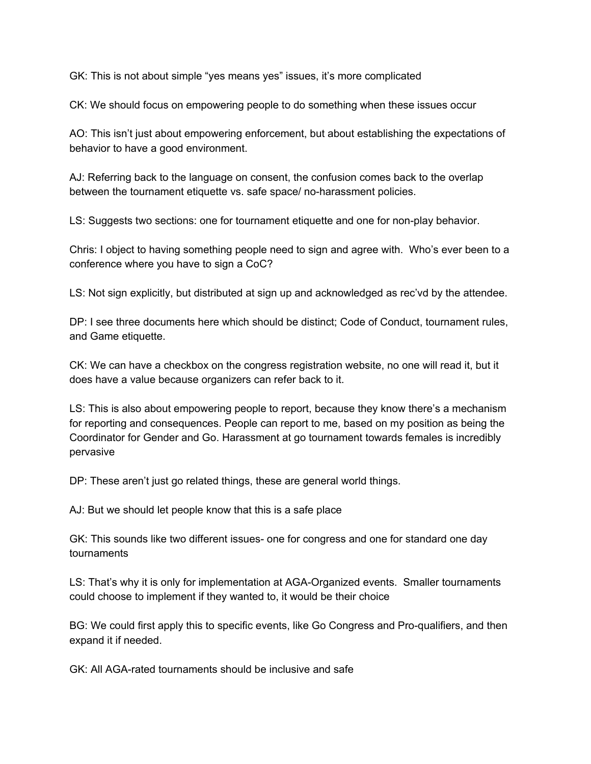GK: This is not about simple "yes means yes" issues, it's more complicated

CK: We should focus on empowering people to do something when these issues occur

AO: This isn't just about empowering enforcement, but about establishing the expectations of behavior to have a good environment.

AJ: Referring back to the language on consent, the confusion comes back to the overlap between the tournament etiquette vs. safe space/ no-harassment policies.

LS: Suggests two sections: one for tournament etiquette and one for non-play behavior.

Chris: I object to having something people need to sign and agree with. Who's ever been to a conference where you have to sign a CoC?

LS: Not sign explicitly, but distributed at sign up and acknowledged as rec'vd by the attendee.

DP: I see three documents here which should be distinct; Code of Conduct, tournament rules, and Game etiquette.

CK: We can have a checkbox on the congress registration website, no one will read it, but it does have a value because organizers can refer back to it.

LS: This is also about empowering people to report, because they know there's a mechanism for reporting and consequences. People can report to me, based on my position as being the Coordinator for Gender and Go. Harassment at go tournament towards females is incredibly pervasive

DP: These aren't just go related things, these are general world things.

AJ: But we should let people know that this is a safe place

GK: This sounds like two different issues- one for congress and one for standard one day tournaments

LS: That's why it is only for implementation at AGA-Organized events. Smaller tournaments could choose to implement if they wanted to, it would be their choice

BG: We could first apply this to specific events, like Go Congress and Pro-qualifiers, and then expand it if needed.

GK: All AGA-rated tournaments should be inclusive and safe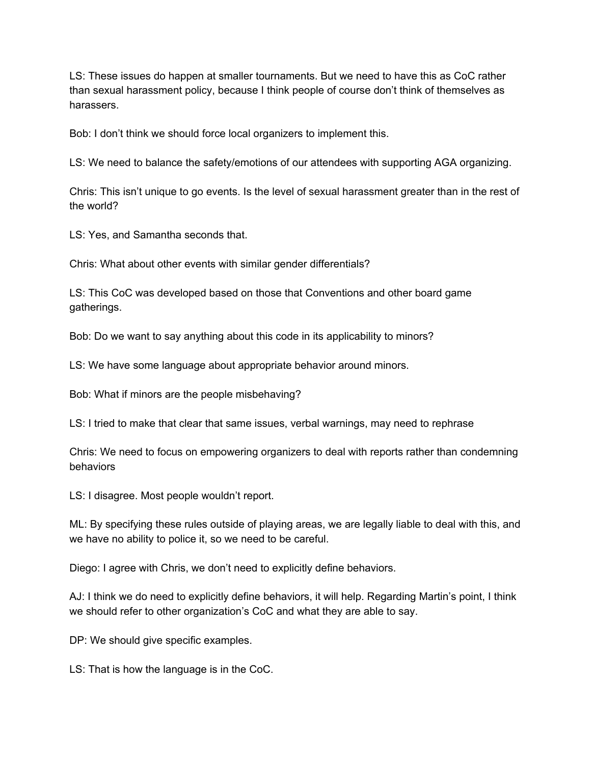LS: These issues do happen at smaller tournaments. But we need to have this as CoC rather than sexual harassment policy, because I think people of course don't think of themselves as harassers.

Bob: I don't think we should force local organizers to implement this.

LS: We need to balance the safety/emotions of our attendees with supporting AGA organizing.

Chris: This isn't unique to go events. Is the level of sexual harassment greater than in the rest of the world?

LS: Yes, and Samantha seconds that.

Chris: What about other events with similar gender differentials?

LS: This CoC was developed based on those that Conventions and other board game gatherings.

Bob: Do we want to say anything about this code in its applicability to minors?

LS: We have some language about appropriate behavior around minors.

Bob: What if minors are the people misbehaving?

LS: I tried to make that clear that same issues, verbal warnings, may need to rephrase

Chris: We need to focus on empowering organizers to deal with reports rather than condemning behaviors

LS: I disagree. Most people wouldn't report.

ML: By specifying these rules outside of playing areas, we are legally liable to deal with this, and we have no ability to police it, so we need to be careful.

Diego: I agree with Chris, we don't need to explicitly define behaviors.

AJ: I think we do need to explicitly define behaviors, it will help. Regarding Martin's point, I think we should refer to other organization's CoC and what they are able to say.

DP: We should give specific examples.

LS: That is how the language is in the CoC.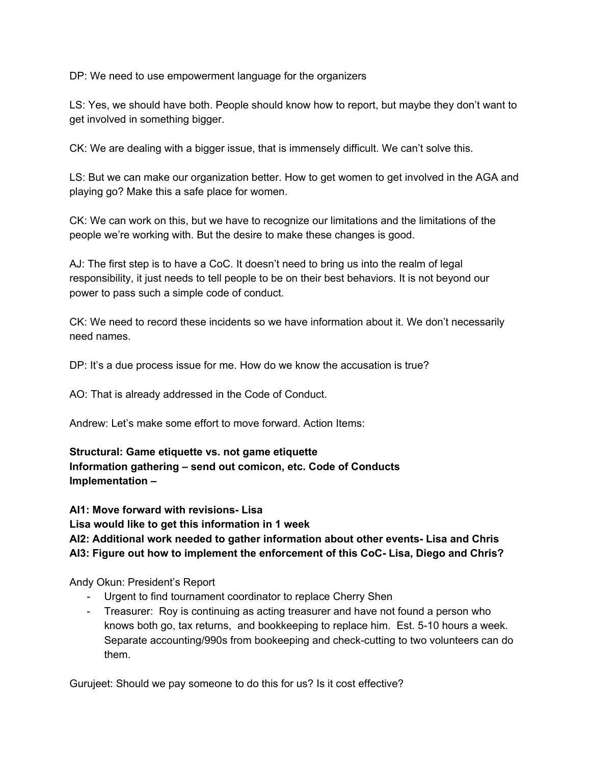DP: We need to use empowerment language for the organizers

LS: Yes, we should have both. People should know how to report, but maybe they don't want to get involved in something bigger.

CK: We are dealing with a bigger issue, that is immensely difficult. We can't solve this.

LS: But we can make our organization better. How to get women to get involved in the AGA and playing go? Make this a safe place for women.

CK: We can work on this, but we have to recognize our limitations and the limitations of the people we're working with. But the desire to make these changes is good.

AJ: The first step is to have a CoC. It doesn't need to bring us into the realm of legal responsibility, it just needs to tell people to be on their best behaviors. It is not beyond our power to pass such a simple code of conduct.

CK: We need to record these incidents so we have information about it. We don't necessarily need names.

DP: It's a due process issue for me. How do we know the accusation is true?

AO: That is already addressed in the Code of Conduct.

Andrew: Let's make some effort to move forward. Action Items:

**Structural: Game etiquette vs. not game etiquette Information gathering – send out comicon, etc. Code of Conducts Implementation –**

**AI1: Move forward with revisions- Lisa Lisa would like to get this information in 1 week AI2: Additional work needed to gather information about other events- Lisa and Chris AI3: Figure out how to implement the enforcement of this CoC- Lisa, Diego and Chris?**

Andy Okun: President's Report

- Urgent to find tournament coordinator to replace Cherry Shen
- Treasurer: Roy is continuing as acting treasurer and have not found a person who knows both go, tax returns, and bookkeeping to replace him. Est. 5-10 hours a week. Separate accounting/990s from bookeeping and check-cutting to two volunteers can do them.

Gurujeet: Should we pay someone to do this for us? Is it cost effective?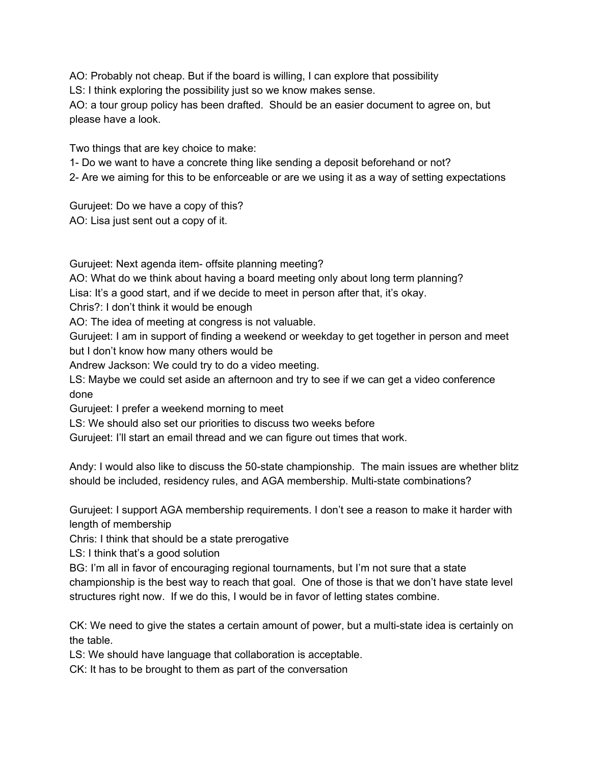AO: Probably not cheap. But if the board is willing, I can explore that possibility

LS: I think exploring the possibility just so we know makes sense.

AO: a tour group policy has been drafted. Should be an easier document to agree on, but please have a look.

Two things that are key choice to make:

1- Do we want to have a concrete thing like sending a deposit beforehand or not?

2- Are we aiming for this to be enforceable or are we using it as a way of setting expectations

Gurujeet: Do we have a copy of this? AO: Lisa just sent out a copy of it.

Gurujeet: Next agenda item- offsite planning meeting?

AO: What do we think about having a board meeting only about long term planning?

Lisa: It's a good start, and if we decide to meet in person after that, it's okay.

Chris?: I don't think it would be enough

AO: The idea of meeting at congress is not valuable.

Gurujeet: I am in support of finding a weekend or weekday to get together in person and meet but I don't know how many others would be

Andrew Jackson: We could try to do a video meeting.

LS: Maybe we could set aside an afternoon and try to see if we can get a video conference done

Gurujeet: I prefer a weekend morning to meet

LS: We should also set our priorities to discuss two weeks before

Gurujeet: I'll start an email thread and we can figure out times that work.

Andy: I would also like to discuss the 50-state championship. The main issues are whether blitz should be included, residency rules, and AGA membership. Multi-state combinations?

Gurujeet: I support AGA membership requirements. I don't see a reason to make it harder with length of membership

Chris: I think that should be a state prerogative

LS: I think that's a good solution

BG: I'm all in favor of encouraging regional tournaments, but I'm not sure that a state championship is the best way to reach that goal. One of those is that we don't have state level structures right now. If we do this, I would be in favor of letting states combine.

CK: We need to give the states a certain amount of power, but a multi-state idea is certainly on the table.

LS: We should have language that collaboration is acceptable.

CK: It has to be brought to them as part of the conversation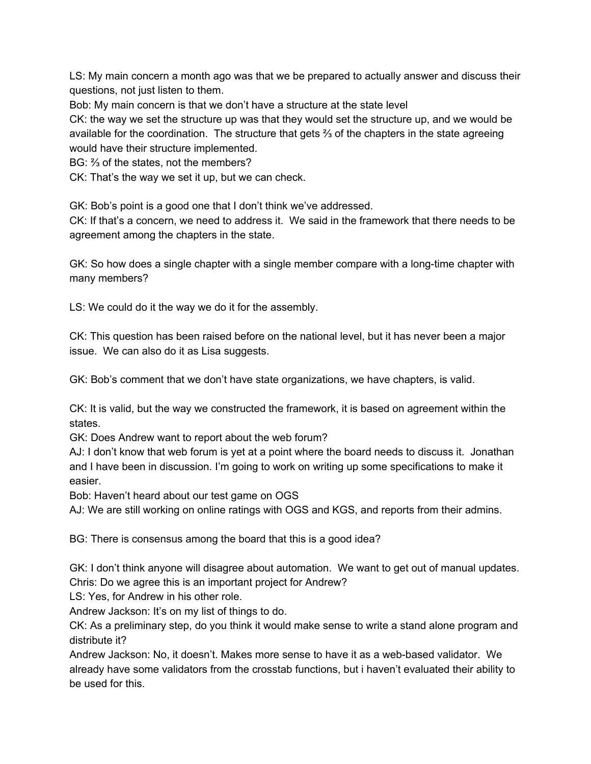LS: My main concern a month ago was that we be prepared to actually answer and discuss their questions, not just listen to them.

Bob: My main concern is that we don't have a structure at the state level

CK: the way we set the structure up was that they would set the structure up, and we would be available for the coordination. The structure that gets  $\frac{2}{3}$  of the chapters in the state agreeing would have their structure implemented.

BG: % of the states, not the members?

CK: That's the way we set it up, but we can check.

GK: Bob's point is a good one that I don't think we've addressed.

CK: If that's a concern, we need to address it. We said in the framework that there needs to be agreement among the chapters in the state.

GK: So how does a single chapter with a single member compare with a long-time chapter with many members?

LS: We could do it the way we do it for the assembly.

CK: This question has been raised before on the national level, but it has never been a major issue. We can also do it as Lisa suggests.

GK: Bob's comment that we don't have state organizations, we have chapters, is valid.

CK: It is valid, but the way we constructed the framework, it is based on agreement within the states.

GK: Does Andrew want to report about the web forum?

AJ: I don't know that web forum is yet at a point where the board needs to discuss it. Jonathan and I have been in discussion. I'm going to work on writing up some specifications to make it easier.

Bob: Haven't heard about our test game on OGS

AJ: We are still working on online ratings with OGS and KGS, and reports from their admins.

BG: There is consensus among the board that this is a good idea?

GK: I don't think anyone will disagree about automation. We want to get out of manual updates. Chris: Do we agree this is an important project for Andrew?

LS: Yes, for Andrew in his other role.

Andrew Jackson: It's on my list of things to do.

CK: As a preliminary step, do you think it would make sense to write a stand alone program and distribute it?

Andrew Jackson: No, it doesn't. Makes more sense to have it as a web-based validator. We already have some validators from the crosstab functions, but i haven't evaluated their ability to be used for this.